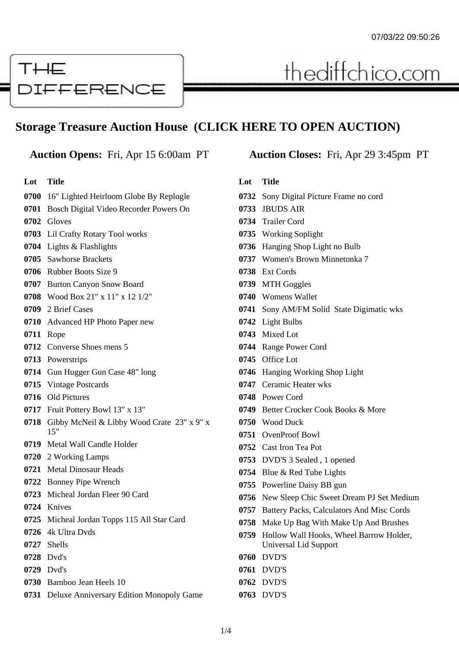# THE DIFFERENCE

## **Storage Treasure Auction House (CLICK HERE TO OPEN AUCTION)**

#### **Lot Title**

#### 16" Lighted Heirloom Globe By Replogle

- Bosch Digital Video Recorder Powers On
- Gloves
- Lil Crafty Rotary Tool works
- Lights & Flashlights
- Sawhorse Brackets
- Rubber Boots Size 9
- Burton Canyon Snow Board
- Wood Box 21" x 11" x 12 1/2"
- 2 Brief Cases
- Advanced HP Photo Paper new
- Rope
- Converse Shoes mens 5
- Powerstrips
- Gun Hugger Gun Case 48" long
- Vintage Postcards
- Old Pictures
- Fruit Pottery Bowl 13" x 13"
- Gibby McNeil & Libby Wood Crate 23" x 9" x 15"
- Metal Wall Candle Holder
- 2 Working Lamps
- Metal Dinosaur Heads
- Bonney Pipe Wrench
- Micheal Jordan Fleer 90 Card
- Knives
- Micheal Jordan Topps 115 All Star Card
- 4k Ultra Dvds
- Shells
- Dvd's
- Dvd's
- Bamboo Jean Heels 10
- Deluxe Anniversary Edition Monopoly Game

#### **Auction Opens:** Fri, Apr 15 6:00am PT **Auction Closes:** Fri, Apr 29 3:45pm PT

thediffchico.com

#### **Lot Title**

- Sony Digital Picture Frame no cord
- JBUDS AIR
- Trailer Cord
- Working Soplight
- Hanging Shop Light no Bulb
- Women's Brown Minnetonka 7
- Ext Cords
- MTH Goggles
- Womens Wallet
- Sony AM/FM Solid State Digimatic wks
- Light Bulbs
- Mixed Lot
- Range Power Cord
- Office Lot
- Hanging Working Shop Light
- Ceramic Heater wks
- Power Cord
- Better Crocker Cook Books & More
- Wood Duck
- OvenProof Bowl
- Cast Iron Tea Pot
- DVD'S 3 Sealed , 1 opened
- Blue & Red Tube Lights
- Powerline Daisy BB gun
- New Sleep Chic Sweet Dream PJ Set Medium
- Battery Packs, Calculators And Misc Cords
- Make Up Bag With Make Up And Brushes
- Hollow Wall Hooks, Wheel Barrow Holder, Universal Lid Support
- DVD'S
- DVD'S
- DVD'S

#### DVD'S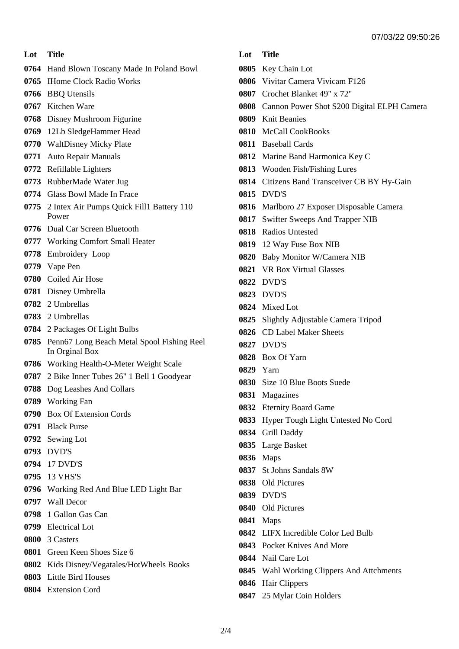#### **Lot Title**

- Hand Blown Toscany Made In Poland Bowl
- IHome Clock Radio Works
- BBQ Utensils
- Kitchen Ware
- Disney Mushroom Figurine
- 12Lb SledgeHammer Head
- WaltDisney Micky Plate
- Auto Repair Manuals
- Refillable Lighters
- RubberMade Water Jug
- Glass Bowl Made In Frace
- 2 Intex Air Pumps Quick Fill1 Battery 110 Power
- Dual Car Screen Bluetooth
- Working Comfort Small Heater
- Embroidery Loop
- Vape Pen
- Coiled Air Hose
- Disney Umbrella
- 2 Umbrellas
- 2 Umbrellas
- 2 Packages Of Light Bulbs
- Penn67 Long Beach Metal Spool Fishing Reel In Orginal Box
- Working Health-O-Meter Weight Scale
- 2 Bike Inner Tubes 26" 1 Bell 1 Goodyear
- Dog Leashes And Collars
- Working Fan
- Box Of Extension Cords
- Black Purse
- Sewing Lot
- DVD'S
- 17 DVD'S
- 13 VHS'S
- Working Red And Blue LED Light Bar
- Wall Decor
- 1 Gallon Gas Can
- Electrical Lot
- 3 Casters
- Green Keen Shoes Size 6
- Kids Disney/Vegatales/HotWheels Books
- Little Bird Houses
- Extension Cord

### **Lot Title**

- Key Chain Lot
- Vivitar Camera Vivicam F126
- Crochet Blanket 49" x 72"
- Cannon Power Shot S200 Digital ELPH Camera
- Knit Beanies
- McCall CookBooks
- Baseball Cards
- Marine Band Harmonica Key C
- Wooden Fish/Fishing Lures
- Citizens Band Transceiver CB BY Hy-Gain
- DVD'S
- Marlboro 27 Exposer Disposable Camera
- Swifter Sweeps And Trapper NIB
- Radios Untested
- 12 Way Fuse Box NIB
- Baby Monitor W/Camera NIB
- VR Box Virtual Glasses
- DVD'S
- DVD'S
- Mixed Lot
- Slightly Adjustable Camera Tripod
- CD Label Maker Sheets
- DVD'S
- Box Of Yarn
- Yarn
- Size 10 Blue Boots Suede
- Magazines
- Eternity Board Game
- Hyper Tough Light Untested No Cord
- Grill Daddy
- Large Basket
- Maps
- St Johns Sandals 8W
- Old Pictures
- DVD'S
- Old Pictures
- Maps
- LIFX Incredible Color Led Bulb
- Pocket Knives And More
- Nail Care Lot
- Wahl Working Clippers And Attchments
- Hair Clippers
- 25 Mylar Coin Holders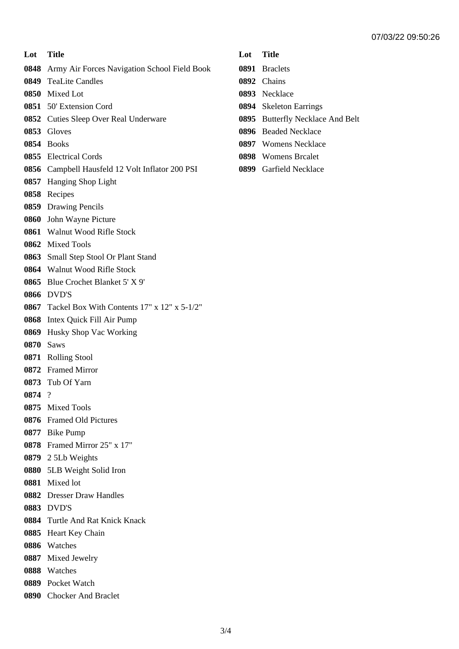| Lot  | <b>Title</b>                                    |
|------|-------------------------------------------------|
| 0848 | Army Air Forces Navigation School Field Book    |
| 0849 | <b>TeaLite Candles</b>                          |
|      | 0850 Mixed Lot                                  |
|      | 0851 50' Extension Cord                         |
|      | 0852 Cuties Sleep Over Real Underware           |
|      | 0853 Gloves                                     |
| 0854 | <b>Books</b>                                    |
|      | 0855 Electrical Cords                           |
|      | 0856 Campbell Hausfeld 12 Volt Inflator 200 PSI |
| 0857 | Hanging Shop Light                              |
| 0858 | Recipes                                         |
| 0859 | <b>Drawing Pencils</b>                          |
| 0860 | John Wayne Picture                              |
|      | 0861 Walnut Wood Rifle Stock                    |
| 0862 | <b>Mixed Tools</b>                              |
| 0863 | Small Step Stool Or Plant Stand                 |
|      | 0864 Walnut Wood Rifle Stock                    |
| 0865 | Blue Crochet Blanket 5' X 9'                    |
|      | <b>0866 DVD'S</b>                               |
| 0867 | Tackel Box With Contents 17" x 12" x 5-1/2"     |
| 0868 | Intex Quick Fill Air Pump                       |
| 0869 | Husky Shop Vac Working                          |
| 0870 | <b>Saws</b>                                     |
|      | 0871 Rolling Stool                              |
|      | 0872 Framed Mirror                              |
|      | 0873 Tub Of Yarn                                |
| 0874 | $\gamma$                                        |
|      | 0875 Mixed Tools                                |
|      | 0876 Framed Old Pictures                        |
|      | 0877 Bike Pump                                  |
|      | 0878 Framed Mirror 25" x 17"                    |
|      | 0879 2 5Lb Weights                              |
|      | 0880 5LB Weight Solid Iron                      |
|      | 0881 Mixed lot                                  |
|      | 0882 Dresser Draw Handles                       |
|      | 0883 DVD'S                                      |
|      | 0884 Turtle And Rat Knick Knack                 |
|      | 0885 Heart Key Chain                            |
|      | 0886 Watches                                    |
|      | 0887 Mixed Jewelry                              |
|      | 0888 Watches                                    |
|      | 0889 Pocket Watch                               |
|      | 0890 Chocker And Braclet                        |

#### **Lot Title**

- Braclets
- Chains
- Necklace
- Skeleton Earrings
- Butterfly Necklace And Belt
- Beaded Necklace
- Womens Necklace
- Womens Brcalet
- Garfield Necklace